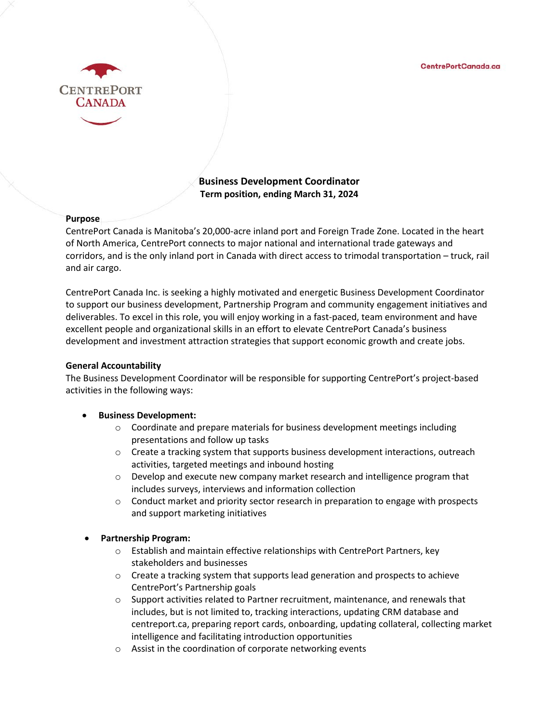

# **Business Development Coordinator Term position, ending March 31, 2024**

## **Purpose**

CentrePort Canada is Manitoba's 20,000-acre inland port and Foreign Trade Zone. Located in the heart of North America, CentrePort connects to major national and international trade gateways and corridors, and is the only inland port in Canada with direct access to trimodal transportation – truck, rail and air cargo.

CentrePort Canada Inc. is seeking a highly motivated and energetic Business Development Coordinator to support our business development, Partnership Program and community engagement initiatives and deliverables. To excel in this role, you will enjoy working in a fast-paced, team environment and have excellent people and organizational skills in an effort to elevate CentrePort Canada's business development and investment attraction strategies that support economic growth and create jobs.

### **General Accountability**

The Business Development Coordinator will be responsible for supporting CentrePort's project-based activities in the following ways:

# • **Business Development:**

- $\circ$  Coordinate and prepare materials for business development meetings including presentations and follow up tasks
- $\circ$  Create a tracking system that supports business development interactions, outreach activities, targeted meetings and inbound hosting
- o Develop and execute new company market research and intelligence program that includes surveys, interviews and information collection
- o Conduct market and priority sector research in preparation to engage with prospects and support marketing initiatives

# • **Partnership Program:**

- $\circ$  Establish and maintain effective relationships with CentrePort Partners, key stakeholders and businesses
- $\circ$  Create a tracking system that supports lead generation and prospects to achieve CentrePort's Partnership goals
- $\circ$  Support activities related to Partner recruitment, maintenance, and renewals that includes, but is not limited to, tracking interactions, updating CRM database and centreport.ca, preparing report cards, onboarding, updating collateral, collecting market intelligence and facilitating introduction opportunities
- o Assist in the coordination of corporate networking events